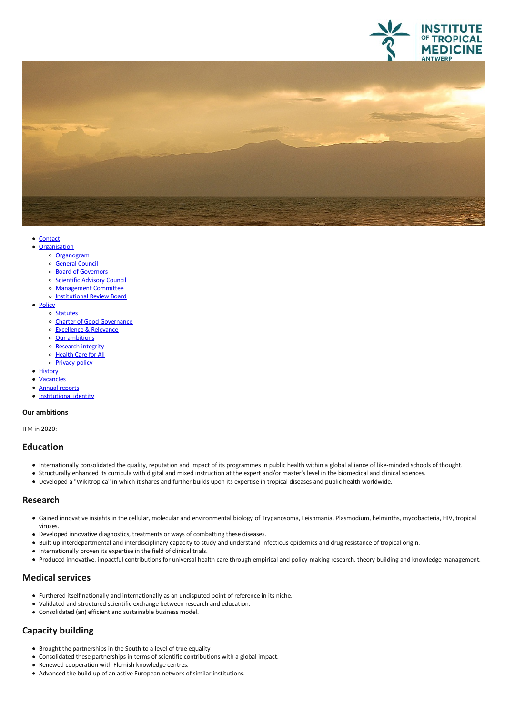



- [Contact](file:///E/contact)
- [Organisation](javascript:void(0))<br>
⊙ [Organogram](https://www.itg.be/Files/docs/organogram-EN.pdf)
	-
	- o [General](file:///E/general-council) Council
	- o Board of [Governors](file:///E/about-us/board-of-governors)
	- o [Scientific](file:///E/scientific-advisory-council) Advisory Council
	- [Management](file:///E/management-board) Committee
	- o [Institutional](file:///E/institutional-review-board) Review Board
- [Policy](javascript:void(0))
	- o [Statutes](file:///E/statutes)
	- o Charter of Good [Governance](file:///E/charter-of-good-governance)
	- [Excellence](file:///E/excellence--relevance) & Relevance<br>○ Our ambitions
	-
	- o [Research](file:///E/research-integrity) integrity
	- o [Health](file:///E/health-care-for-all) Care for All
	- o **[Privacy](file:///E/privacy) policy**
- [History](file:///E/history)
- [Vacancies](file:///E/vacancies)
- $\bullet$ Annual [reports](file:///E/about-us/annual-reports)
- [Institutional](file:///E/institutional-identity) identity

#### **Our ambitions**

ITM in 2020:

### **Education**

- Internationally consolidated the quality, reputation and impact of its programmes in public health within aglobal alliance of like-minded schools of thought.
- 
- Structurally enhanced its curricula with digital and mixed instruction at the expert and/or master's level in the biomedical and clinical sciences.<br>• Developed a "Wikitropica" in which it shares and further builds upon i

### **Research**

- Gained innovative insights in the cellular, molecular and environmental biology of Trypanosoma, Leishmania, Plasmodium, helminths, mycobacteria, HIV, tropical viruses.<br>• Developed innovative diagnostics, treatments or ways of combatting these diseases.
- 
- Built up interdepartmental and interdisciplinary capacity to study and understand infectious epidemics and drug resistance of tropical origin.
- Internationally proven its expertise in the field of clinical trials.
- Produced innovative, impactful contributions for universal health care through empirical and policy-making research, theory buildingand knowledge management.

### **Medical services**

- Furthered itself nationally and internationally asan undisputed point of reference in its niche.
- Validated and structured scientific exchange between research and education.
- Consolidated (an) efficient and sustainable business model.

# **Capacity building**

- Brought the partnerships in the South to a level of true equality
- Consolidated these partnerships in terms of scientific contributions with aglobal impact.
- Renewed cooperation with Flemish knowledge centres.
- Advanced the build-up of an active European network of similar institutions.